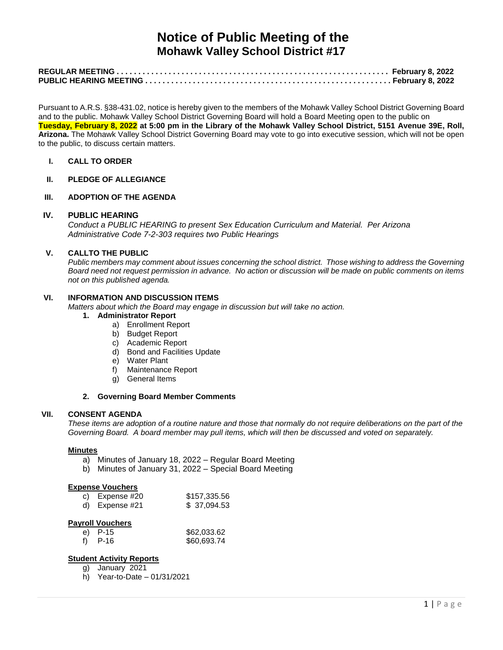# **Notice of Public Meeting of the Mohawk Valley School District #17**

Pursuant to A.R.S. §38-431.02, notice is hereby given to the members of the Mohawk Valley School District Governing Board and to the public. Mohawk Valley School District Governing Board will hold a Board Meeting open to the public on **Tuesday, February 8, 2022 at 5:00 pm in the Library of the Mohawk Valley School District, 5151 Avenue 39E, Roll, Arizona.** The Mohawk Valley School District Governing Board may vote to go into executive session, which will not be open to the public, to discuss certain matters.

**I. CALL TO ORDER**

## **II. PLEDGE OF ALLEGIANCE**

## **III. ADOPTION OF THE AGENDA**

#### **IV. PUBLIC HEARING**

*Conduct a PUBLIC HEARING to present Sex Education Curriculum and Material. Per Arizona Administrative Code 7-2-303 requires two Public Hearings*

# **V. CALLTO THE PUBLIC**

*Public members may comment about issues concerning the school district. Those wishing to address the Governing Board need not request permission in advance. No action or discussion will be made on public comments on items not on this published agenda.*

## **VI. INFORMATION AND DISCUSSION ITEMS**

*Matters about which the Board may engage in discussion but will take no action.* 

# **1. Administrator Report**

- a) Enrollment Report
- b) Budget Report
- c) Academic Report
- d) Bond and Facilities Update
- e) Water Plant
- f) Maintenance Report
- g) General Items

#### **2. Governing Board Member Comments**

#### **VII. CONSENT AGENDA**

*These items are adoption of a routine nature and those that normally do not require deliberations on the part of the Governing Board. A board member may pull items, which will then be discussed and voted on separately.*

#### **Minutes**

- a) Minutes of January 18, 2022 Regular Board Meeting
- b) Minutes of January 31, 2022 Special Board Meeting

#### **Expense Vouchers**

| c) Expense #20 | \$157,335.56 |
|----------------|--------------|
| d) Expense #21 | \$37,094.53  |

## **Payroll Vouchers**

| e) P-15 | \$62,033.62 |
|---------|-------------|
| P-16    | \$60,693.74 |

# **Student Activity Reports**

- g) January 2021
- h) Year-to-Date 01/31/2021